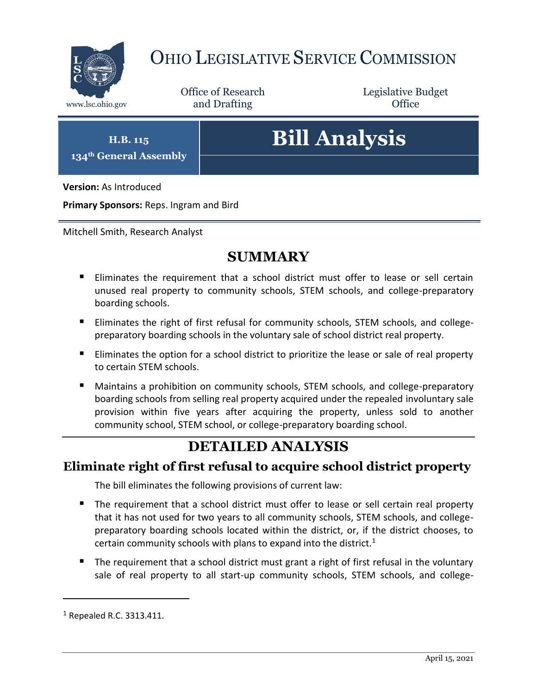

# OHIO LEGISLATIVE SERVICE COMMISSION

Office of Research www.lsc.ohio.gov **and Drafting Office** 

Legislative Budget

**H.B. 115 134th General Assembly**

# **Bill Analysis**

**Version:** As Introduced

**Primary Sponsors:** Reps. Ingram and Bird

Mitchell Smith, Research Analyst

### **SUMMARY**

- Eliminates the requirement that a school district must offer to lease or sell certain unused real property to community schools, STEM schools, and college-preparatory boarding schools.
- **Eliminates the right of first refusal for community schools, STEM schools, and college**preparatory boarding schools in the voluntary sale of school district real property.
- Eliminates the option for a school district to prioritize the lease or sale of real property to certain STEM schools.
- Maintains a prohibition on community schools, STEM schools, and college-preparatory boarding schools from selling real property acquired under the repealed involuntary sale provision within five years after acquiring the property, unless sold to another community school, STEM school, or college-preparatory boarding school.

## **DETAILED ANALYSIS**

#### **Eliminate right of first refusal to acquire school district property**

The bill eliminates the following provisions of current law:

- The requirement that a school district must offer to lease or sell certain real property that it has not used for two years to all community schools, STEM schools, and collegepreparatory boarding schools located within the district, or, if the district chooses, to certain community schools with plans to expand into the district.<sup>1</sup>
- The requirement that a school district must grant a right of first refusal in the voluntary sale of real property to all start-up community schools, STEM schools, and college-

 $\overline{a}$ 

<sup>1</sup> Repealed R.C. 3313.411.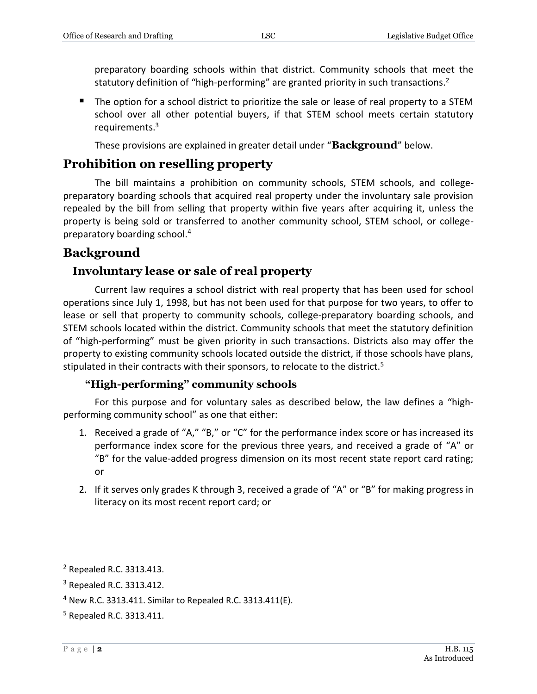preparatory boarding schools within that district. Community schools that meet the statutory definition of "high-performing" are granted priority in such transactions. $2$ 

■ The option for a school district to prioritize the sale or lease of real property to a STEM school over all other potential buyers, if that STEM school meets certain statutory requirements.<sup>3</sup>

These provisions are explained in greater detail under "**Background**" below.

#### **Prohibition on reselling property**

The bill maintains a prohibition on community schools, STEM schools, and collegepreparatory boarding schools that acquired real property under the involuntary sale provision repealed by the bill from selling that property within five years after acquiring it, unless the property is being sold or transferred to another community school, STEM school, or collegepreparatory boarding school.<sup>4</sup>

#### **Background**

#### **Involuntary lease or sale of real property**

Current law requires a school district with real property that has been used for school operations since July 1, 1998, but has not been used for that purpose for two years, to offer to lease or sell that property to community schools, college-preparatory boarding schools, and STEM schools located within the district. Community schools that meet the statutory definition of "high-performing" must be given priority in such transactions. Districts also may offer the property to existing community schools located outside the district, if those schools have plans, stipulated in their contracts with their sponsors, to relocate to the district.<sup>5</sup>

#### **"High-performing" community schools**

For this purpose and for voluntary sales as described below, the law defines a "highperforming community school" as one that either:

- 1. Received a grade of "A," "B," or "C" for the performance index score or has increased its performance index score for the previous three years, and received a grade of "A" or "B" for the value-added progress dimension on its most recent state report card rating; or
- 2. If it serves only grades K through 3, received a grade of "A" or "B" for making progress in literacy on its most recent report card; or

 $\overline{a}$ 

<sup>2</sup> Repealed R.C. 3313.413.

<sup>3</sup> Repealed R.C. 3313.412.

<sup>&</sup>lt;sup>4</sup> New R.C. 3313.411. Similar to Repealed R.C. 3313.411(E).

<sup>5</sup> Repealed R.C. 3313.411.